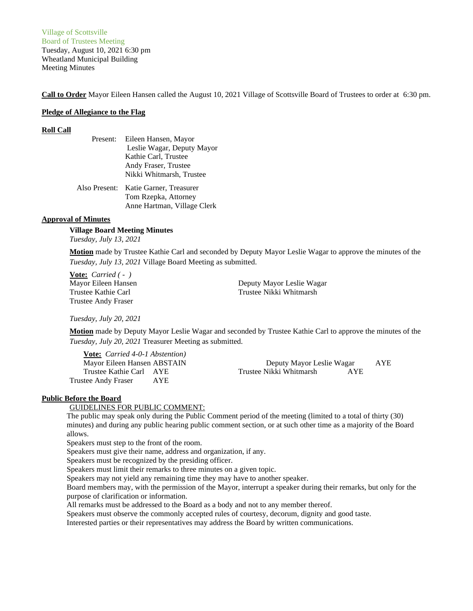Village of Scottsville Board of Trustees Meeting Tuesday, August 10, 2021 6:30 pm Wheatland Municipal Building Meeting Minutes

**Call to Order** Mayor Eileen Hansen called the August 10, 2021 Village of Scottsville Board of Trustees to order at 6:30 pm.

#### **Pledge of Allegiance to the Flag**

#### **Roll Call**

| Present: | Eileen Hansen, Mayor                                         |
|----------|--------------------------------------------------------------|
|          | Leslie Wagar, Deputy Mayor                                   |
|          | Kathie Carl, Trustee                                         |
|          | Andy Fraser, Trustee                                         |
|          | Nikki Whitmarsh, Trustee                                     |
|          | Also Present: Katie Garner, Treasurer<br>Tom Rzenka Attornev |

Tom Rzepka, Attorney Anne Hartman, Village Clerk

# **Approval of Minutes**

# **Village Board Meeting Minutes**

*Tuesday, July 13, 2021*

**Motion** made by Trustee Kathie Carl and seconded by Deputy Mayor Leslie Wagar to approve the minutes of the *Tuesday, July 13, 2021* Village Board Meeting as submitted.

**Vote:** *Carried ( - )* Trustee Andy Fraser

Mayor Eileen Hansen Deputy Mayor Leslie Wagar Trustee Kathie Carl Trustee Nikki Whitmarsh

*Tuesday, July 20, 2021*

**Motion** made by Deputy Mayor Leslie Wagar and seconded by Trustee Kathie Carl to approve the minutes of the *Tuesday, July 20, 2021* Treasurer Meeting as submitted.

**Vote:** *Carried 4-0-1 Abstention)* Trustee Andy Fraser AYE

Mayor Eileen Hansen ABSTAIN Deputy Mayor Leslie Wagar AYE Trustee Kathie Carl AYE Trustee Nikki Whitmarsh AYE

## **Public Before the Board**

# GUIDELINES FOR PUBLIC COMMENT:

The public may speak only during the Public Comment period of the meeting (limited to a total of thirty (30) minutes) and during any public hearing public comment section, or at such other time as a majority of the Board allows.

Speakers must step to the front of the room.

Speakers must give their name, address and organization, if any.

Speakers must be recognized by the presiding officer.

Speakers must limit their remarks to three minutes on a given topic.

Speakers may not yield any remaining time they may have to another speaker.

Board members may, with the permission of the Mayor, interrupt a speaker during their remarks, but only for the purpose of clarification or information.

All remarks must be addressed to the Board as a body and not to any member thereof.

Speakers must observe the commonly accepted rules of courtesy, decorum, dignity and good taste.

Interested parties or their representatives may address the Board by written communications.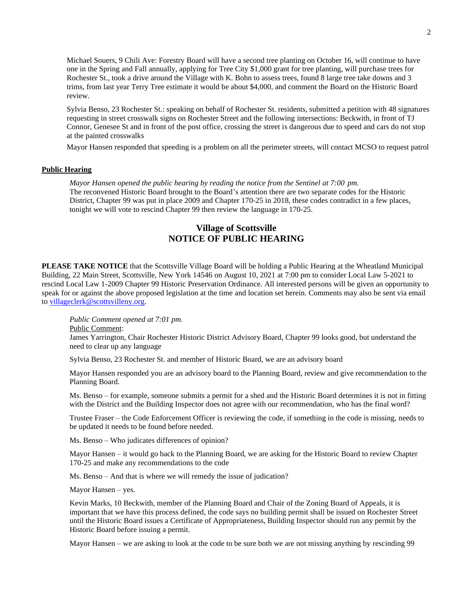Michael Souers, 9 Chili Ave: Forestry Board will have a second tree planting on October 16, will continue to have one in the Spring and Fall annually, applying for Tree City \$1,000 grant for tree planting, will purchase trees for Rochester St., took a drive around the Village with K. Bohn to assess trees, found 8 large tree take downs and 3 trims, from last year Terry Tree estimate it would be about \$4,000, and comment the Board on the Historic Board review.

Sylvia Benso, 23 Rochester St.: speaking on behalf of Rochester St. residents, submitted a petition with 48 signatures requesting in street crosswalk signs on Rochester Street and the following intersections: Beckwith, in front of TJ Connor, Genesee St and in front of the post office, crossing the street is dangerous due to speed and cars do not stop at the painted crosswalks

Mayor Hansen responded that speeding is a problem on all the perimeter streets, will contact MCSO to request patrol

## **Public Hearing**

*Mayor Hansen opened the public hearing by reading the notice from the Sentinel at 7:00 pm.* The reconvened Historic Board brought to the Board's attention there are two separate codes for the Historic District, Chapter 99 was put in place 2009 and Chapter 170-25 in 2018, these codes contradict in a few places, tonight we will vote to rescind Chapter 99 then review the language in 170-25.

# **Village of Scottsville NOTICE OF PUBLIC HEARING**

**PLEASE TAKE NOTICE** that the Scottsville Village Board will be holding a Public Hearing at the Wheatland Municipal Building, 22 Main Street, Scottsville, New York 14546 on August 10, 2021 at 7:00 pm to consider Local Law 5-2021 to rescind Local Law 1-2009 Chapter 99 Historic Preservation Ordinance. All interested persons will be given an opportunity to speak for or against the above proposed legislation at the time and location set herein. Comments may also be sent via email to [villageclerk@scottsvilleny.org.](mailto:villageclerk@scottsvilleny.org)

*Public Comment opened at 7:01 pm.*

Public Comment:

James Yarrington, Chair Rochester Historic District Advisory Board, Chapter 99 looks good, but understand the need to clear up any language

Sylvia Benso, 23 Rochester St. and member of Historic Board, we are an advisory board

Mayor Hansen responded you are an advisory board to the Planning Board, review and give recommendation to the Planning Board.

Ms. Benso – for example, someone submits a permit for a shed and the Historic Board determines it is not in fitting with the District and the Building Inspector does not agree with our recommendation, who has the final word?

Trustee Fraser – the Code Enforcement Officer is reviewing the code, if something in the code is missing, needs to be updated it needs to be found before needed.

Ms. Benso – Who judicates differences of opinion?

Mayor Hansen – it would go back to the Planning Board, we are asking for the Historic Board to review Chapter 170-25 and make any recommendations to the code

Ms. Benso – And that is where we will remedy the issue of judication?

Mayor Hansen – yes.

Kevin Marks, 10 Beckwith, member of the Planning Board and Chair of the Zoning Board of Appeals, it is important that we have this process defined, the code says no building permit shall be issued on Rochester Street until the Historic Board issues a Certificate of Appropriateness, Building Inspector should run any permit by the Historic Board before issuing a permit.

Mayor Hansen – we are asking to look at the code to be sure both we are not missing anything by rescinding 99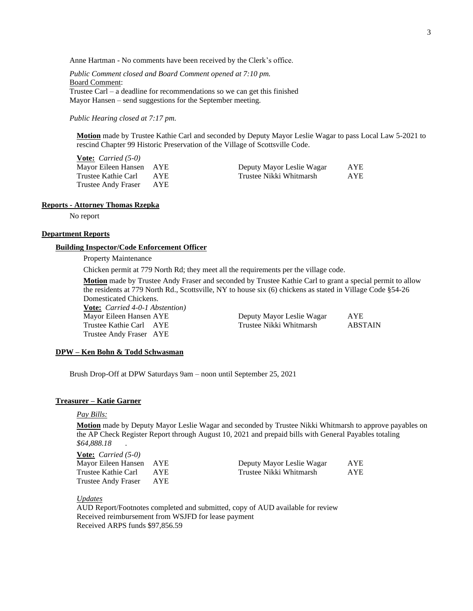Anne Hartman - No comments have been received by the Clerk's office.

*Public Comment closed and Board Comment opened at 7:10 pm.* Board Comment: Trustee Carl – a deadline for recommendations so we can get this finished Mayor Hansen – send suggestions for the September meeting.

*Public Hearing closed at 7:17 pm.*

**Motion** made by Trustee Kathie Carl and seconded by Deputy Mayor Leslie Wagar to pass Local Law 5-2021 to rescind Chapter 99 Historic Preservation of the Village of Scottsville Code.

**Vote:** *Carried (5-0)* Trustee Andy Fraser AYE

Mayor Eileen Hansen AYE Deputy Mayor Leslie Wagar AYE Trustee Kathie Carl AYE Trustee Nikki Whitmarsh AYE

#### **Reports - Attorney Thomas Rzepka**

No report

### **Department Reports**

#### **Building Inspector/Code Enforcement Officer**

#### Property Maintenance

Chicken permit at 779 North Rd; they meet all the requirements per the village code.

**Motion** made by Trustee Andy Fraser and seconded by Trustee Kathie Carl to grant a special permit to allow the residents at 779 North Rd., Scottsville, NY to house six (6) chickens as stated in Village Code §54-26 Domesticated Chickens.

**Vote:** *Carried 4-0-1 Abstention)* Mayor Eileen Hansen AYE Deputy Mayor Leslie Wagar AYE Trustee Kathie Carl AYE Trustee Nikki Whitmarsh Trustee Andy Fraser AYE

#### **DPW – Ken Bohn & Todd Schwasman**

Brush Drop-Off at DPW Saturdays 9am – noon until September 25, 2021

#### **Treasurer – Katie Garner**

#### *Pay Bills:*

**Motion** made by Deputy Mayor Leslie Wagar and seconded by Trustee Nikki Whitmarsh to approve payables on the AP Check Register Report through August 10, 2021 and prepaid bills with General Payables totaling *\$64,888.18* .

**Vote:** *Carried (5-0)* Mayor Eileen Hansen AYE Trustee Kathie Carl AYE Trustee Andy Fraser AYE

| Deputy Mayor Leslie Wagar | <b>AYE</b> |
|---------------------------|------------|
| Trustee Nikki Whitmarsh   | <b>AYE</b> |

*Updates*

AUD Report/Footnotes completed and submitted, copy of AUD available for review Received reimbursement from WSJFD for lease payment Received ARPS funds \$97,856.59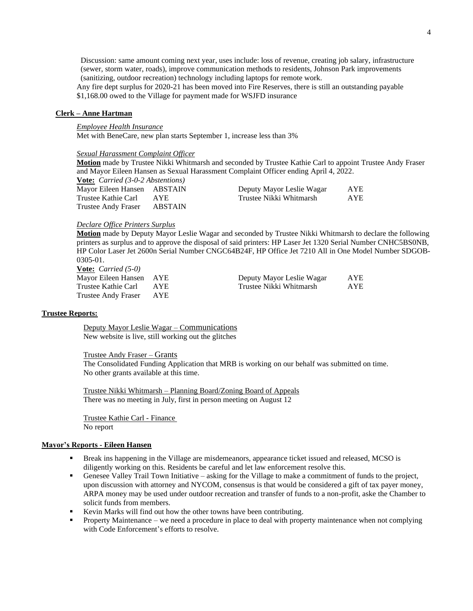Discussion: same amount coming next year, uses include: loss of revenue, creating job salary, infrastructure (sewer, storm water, roads), improve communication methods to residents, Johnson Park improvements (sanitizing, outdoor recreation) technology including laptops for remote work. Any fire dept surplus for 2020-21 has been moved into Fire Reserves, there is still an outstanding payable \$1,168.00 owed to the Village for payment made for WSJFD insurance

#### **Clerk – Anne Hartman**

#### *Employee Health Insurance*

Met with BeneCare, new plan starts September 1, increase less than 3%

#### *Sexual Harassment Complaint Officer*

**Motion** made by Trustee Nikki Whitmarsh and seconded by Trustee Kathie Carl to appoint Trustee Andy Fraser and Mayor Eileen Hansen as Sexual Harassment Complaint Officer ending April 4, 2022.

| <b>Vote:</b> <i>Carried</i> $(3-0-2$ <i>Abstentions</i> ) |         |                           |            |
|-----------------------------------------------------------|---------|---------------------------|------------|
| Mayor Eileen Hansen ABSTAIN                               |         | Deputy Mayor Leslie Wagar | <b>AYE</b> |
| Trustee Kathie Carl                                       | AYE.    | Trustee Nikki Whitmarsh   | <b>AYE</b> |
| Trustee Andy Fraser                                       | ABSTAIN |                           |            |

#### *Declare Office Printers Surplus*

**Motion** made by Deputy Mayor Leslie Wagar and seconded by Trustee Nikki Whitmarsh to declare the following printers as surplus and to approve the disposal of said printers: HP Laser Jet 1320 Serial Number CNHC5BS0NB, HP Color Laser Jet 2600n Serial Number CNGC64B24F, HP Office Jet 7210 All in One Model Number SDGOB-0305-01.

**Vote:** *Carried (5-0)* Trustee Andy Fraser AYE

Mayor Eileen Hansen AYE Deputy Mayor Leslie Wagar AYE Trustee Kathie Carl AYE Trustee Nikki Whitmarsh AYE

### **Trustee Reports:**

Deputy Mayor Leslie Wagar – Communications New website is live, still working out the glitches

#### Trustee Andy Fraser – Grants

The Consolidated Funding Application that MRB is working on our behalf was submitted on time. No other grants available at this time.

Trustee Nikki Whitmarsh – Planning Board/Zoning Board of Appeals There was no meeting in July, first in person meeting on August 12

Trustee Kathie Carl - Finance No report

## **Mayor's Reports - Eileen Hansen**

- Break ins happening in the Village are misdemeanors, appearance ticket issued and released, MCSO is diligently working on this. Residents be careful and let law enforcement resolve this.
- Genesee Valley Trail Town Initiative asking for the Village to make a commitment of funds to the project, upon discussion with attorney and NYCOM, consensus is that would be considered a gift of tax payer money, ARPA money may be used under outdoor recreation and transfer of funds to a non-profit, aske the Chamber to solicit funds from members.
- Kevin Marks will find out how the other towns have been contributing.
- **•** Property Maintenance we need a procedure in place to deal with property maintenance when not complying with Code Enforcement's efforts to resolve.